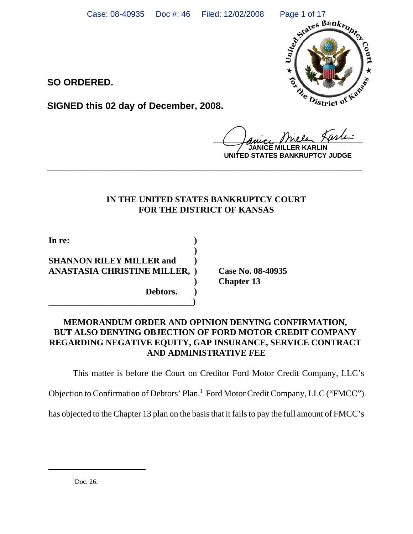

**SO ORDERED.**

**SIGNED this 02 day of December, 2008.**

 $\mu$  formate meller Henri

**RLIN UNITED STATES BANKRUPTCY JUDGE**

# **IN THE UNITED STATES BANKRUPTCY COURT FOR THE DISTRICT OF KANSAS**

**\_\_\_\_\_\_\_\_\_\_\_\_\_\_\_\_\_\_\_\_\_\_\_\_\_\_\_\_\_\_\_\_\_\_\_\_\_\_\_\_\_\_\_\_\_\_\_\_\_\_\_\_\_\_\_\_\_\_\_\_**

**In re: )**

**) SHANNON RILEY MILLER and ) ANASTASIA CHRISTINE MILLER, ) Case No. 08-40935 Debtors. )**

**\_\_\_\_\_\_\_\_\_\_\_\_\_\_\_\_\_\_\_\_\_\_\_\_\_\_\_\_\_\_\_\_\_)**

**) Chapter 13**

# **MEMORANDUM ORDER AND OPINION DENYING CONFIRMATION, BUT ALSO DENYING OBJECTION OF FORD MOTOR CREDIT COMPANY REGARDING NEGATIVE EQUITY, GAP INSURANCE, SERVICE CONTRACT AND ADMINISTRATIVE FEE**

This matter is before the Court on Creditor Ford Motor Credit Company, LLC's

Objection to Confirmation of Debtors' Plan.<sup>1</sup> Ford Motor Credit Company, LLC ("FMCC")

has objected to the Chapter 13 plan on the basis that it fails to pay the full amount of FMCC's

 ${}^{1}$ Doc. 26.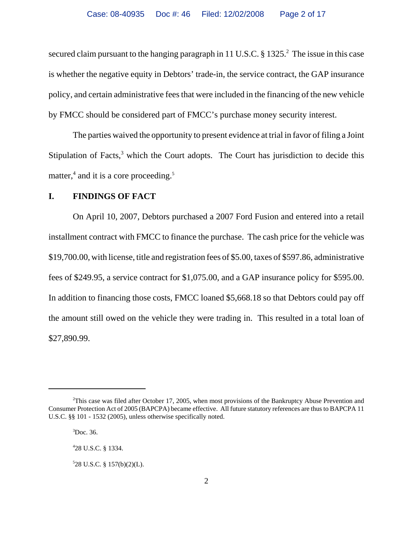secured claim pursuant to the hanging paragraph in 11 U.S.C.  $\S 1325$ .<sup>2</sup> The issue in this case is whether the negative equity in Debtors' trade-in, the service contract, the GAP insurance policy, and certain administrative fees that were included in the financing of the new vehicle by FMCC should be considered part of FMCC's purchase money security interest.

The parties waived the opportunity to present evidence at trial in favor of filing a Joint Stipulation of Facts, $3$  which the Court adopts. The Court has jurisdiction to decide this matter,<sup>4</sup> and it is a core proceeding.<sup>5</sup>

# **I. FINDINGS OF FACT**

On April 10, 2007, Debtors purchased a 2007 Ford Fusion and entered into a retail installment contract with FMCC to finance the purchase. The cash price for the vehicle was \$19,700.00, with license, title and registration fees of \$5.00, taxes of \$597.86, administrative fees of \$249.95, a service contract for \$1,075.00, and a GAP insurance policy for \$595.00. In addition to financing those costs, FMCC loaned \$5,668.18 so that Debtors could pay off the amount still owed on the vehicle they were trading in. This resulted in a total loan of \$27,890.99.

<sup>&</sup>lt;sup>2</sup>This case was filed after October 17, 2005, when most provisions of the Bankruptcy Abuse Prevention and Consumer Protection Act of 2005 (BAPCPA) became effective. All future statutory references are thus to BAPCPA 11 U.S.C. §§ 101 - 1532 (2005), unless otherwise specifically noted.

 ${}^{3}$ Doc. 36.

<sup>4</sup> 28 U.S.C. § 1334.

 $528$  U.S.C. § 157(b)(2)(L).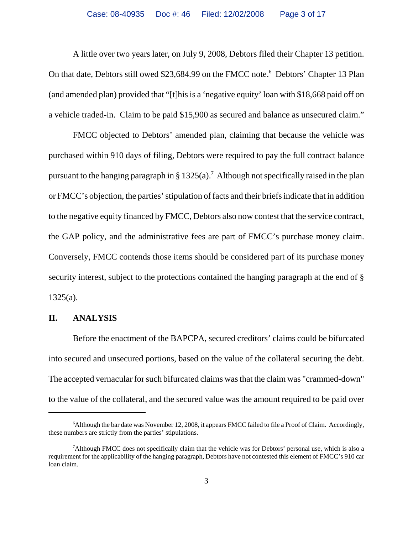A little over two years later, on July 9, 2008, Debtors filed their Chapter 13 petition. On that date, Debtors still owed \$23,684.99 on the FMCC note.<sup>6</sup> Debtors' Chapter 13 Plan (and amended plan) provided that "[t]his is a 'negative equity' loan with \$18,668 paid off on a vehicle traded-in. Claim to be paid \$15,900 as secured and balance as unsecured claim."

FMCC objected to Debtors' amended plan, claiming that because the vehicle was purchased within 910 days of filing, Debtors were required to pay the full contract balance pursuant to the hanging paragraph in § 1325(a).<sup>7</sup> Although not specifically raised in the plan or FMCC's objection, the parties' stipulation of facts and their briefs indicate that in addition to the negative equity financed by FMCC, Debtors also now contest that the service contract, the GAP policy, and the administrative fees are part of FMCC's purchase money claim. Conversely, FMCC contends those items should be considered part of its purchase money security interest, subject to the protections contained the hanging paragraph at the end of §  $1325(a)$ .

## **II. ANALYSIS**

Before the enactment of the BAPCPA, secured creditors' claims could be bifurcated into secured and unsecured portions, based on the value of the collateral securing the debt. The accepted vernacular for such bifurcated claims was that the claim was "crammed-down" to the value of the collateral, and the secured value was the amount required to be paid over

<sup>&</sup>lt;sup>6</sup>Although the bar date was November 12, 2008, it appears FMCC failed to file a Proof of Claim. Accordingly, these numbers are strictly from the parties' stipulations.

<sup>&</sup>lt;sup>7</sup>Although FMCC does not specifically claim that the vehicle was for Debtors' personal use, which is also a requirement for the applicability of the hanging paragraph, Debtors have not contested this element of FMCC's 910 car loan claim.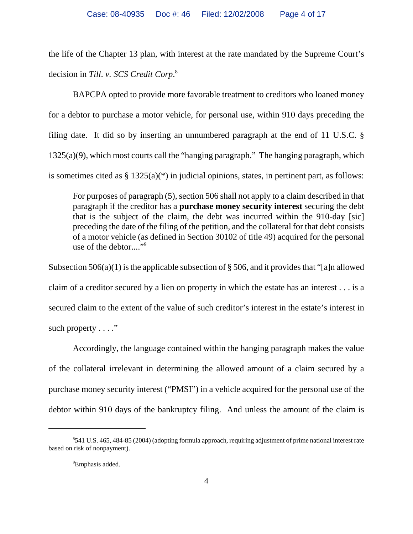the life of the Chapter 13 plan, with interest at the rate mandated by the Supreme Court's decision in *Till*. *v. SCS Credit Corp*. 8

BAPCPA opted to provide more favorable treatment to creditors who loaned money for a debtor to purchase a motor vehicle, for personal use, within 910 days preceding the filing date. It did so by inserting an unnumbered paragraph at the end of 11 U.S.C. § 1325(a)(9), which most courts call the "hanging paragraph." The hanging paragraph, which is sometimes cited as  $\S 1325(a)^{*}$  in judicial opinions, states, in pertinent part, as follows:

For purposes of paragraph (5), section 506 shall not apply to a claim described in that paragraph if the creditor has a **purchase money security interest** securing the debt that is the subject of the claim, the debt was incurred within the 910-day [sic] preceding the date of the filing of the petition, and the collateral for that debt consists of a motor vehicle (as defined in Section 30102 of title 49) acquired for the personal use of the debtor...."<sup>9</sup>

Subsection  $506(a)(1)$  is the applicable subsection of § 506, and it provides that "[a]n allowed claim of a creditor secured by a lien on property in which the estate has an interest . . . is a secured claim to the extent of the value of such creditor's interest in the estate's interest in such property  $\dots$ ."

Accordingly, the language contained within the hanging paragraph makes the value of the collateral irrelevant in determining the allowed amount of a claim secured by a purchase money security interest ("PMSI") in a vehicle acquired for the personal use of the debtor within 910 days of the bankruptcy filing. And unless the amount of the claim is

<sup>8</sup> 541 U.S. 465, 484-85 (2004) (adopting formula approach, requiring adjustment of prime national interest rate based on risk of nonpayment).

<sup>&</sup>lt;sup>9</sup>Emphasis added.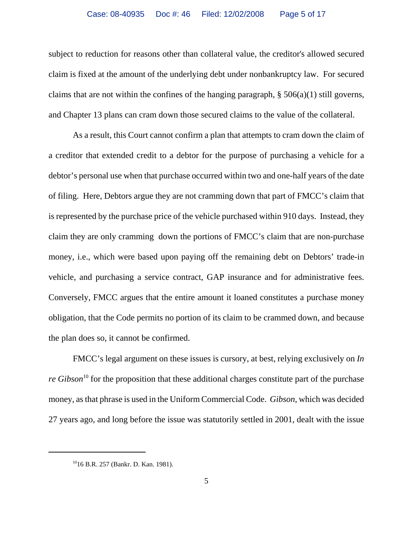subject to reduction for reasons other than collateral value, the creditor's allowed secured claim is fixed at the amount of the underlying debt under nonbankruptcy law. For secured claims that are not within the confines of the hanging paragraph,  $\S$  506(a)(1) still governs, and Chapter 13 plans can cram down those secured claims to the value of the collateral.

As a result, this Court cannot confirm a plan that attempts to cram down the claim of a creditor that extended credit to a debtor for the purpose of purchasing a vehicle for a debtor's personal use when that purchase occurred within two and one-half years of the date of filing. Here, Debtors argue they are not cramming down that part of FMCC's claim that is represented by the purchase price of the vehicle purchased within 910 days. Instead, they claim they are only cramming down the portions of FMCC's claim that are non-purchase money, i.e., which were based upon paying off the remaining debt on Debtors' trade-in vehicle, and purchasing a service contract, GAP insurance and for administrative fees. Conversely, FMCC argues that the entire amount it loaned constitutes a purchase money obligation, that the Code permits no portion of its claim to be crammed down, and because the plan does so, it cannot be confirmed.

FMCC's legal argument on these issues is cursory, at best, relying exclusively on *In re Gibson*<sup>10</sup> for the proposition that these additional charges constitute part of the purchase money, as that phrase is used in the Uniform Commercial Code. *Gibson*, which was decided 27 years ago, and long before the issue was statutorily settled in 2001, dealt with the issue

<sup>1016</sup> B.R. 257 (Bankr. D. Kan. 1981).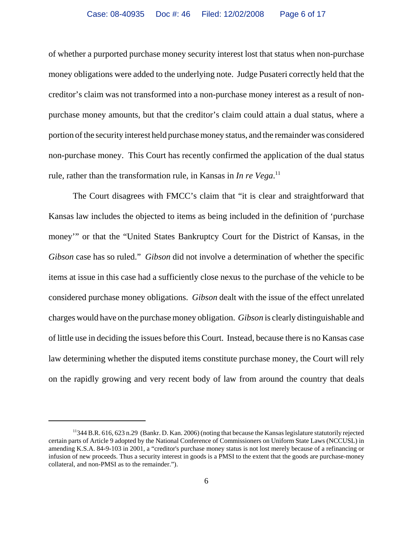of whether a purported purchase money security interest lost that status when non-purchase money obligations were added to the underlying note. Judge Pusateri correctly held that the creditor's claim was not transformed into a non-purchase money interest as a result of nonpurchase money amounts, but that the creditor's claim could attain a dual status, where a portion of the security interest held purchase money status, and the remainder was considered non-purchase money. This Court has recently confirmed the application of the dual status rule, rather than the transformation rule, in Kansas in *In re Vega*.<sup>11</sup>

The Court disagrees with FMCC's claim that "it is clear and straightforward that Kansas law includes the objected to items as being included in the definition of 'purchase money'" or that the "United States Bankruptcy Court for the District of Kansas, in the *Gibson* case has so ruled." *Gibson* did not involve a determination of whether the specific items at issue in this case had a sufficiently close nexus to the purchase of the vehicle to be considered purchase money obligations. *Gibson* dealt with the issue of the effect unrelated charges would have on the purchase money obligation. *Gibson* is clearly distinguishable and of little use in deciding the issues before this Court. Instead, because there is no Kansas case law determining whether the disputed items constitute purchase money, the Court will rely on the rapidly growing and very recent body of law from around the country that deals

<sup>11344</sup> B.R. 616, 623 n.29 (Bankr. D. Kan. 2006) (noting that because the Kansas legislature statutorily rejected certain parts of Article 9 adopted by the National Conference of Commissioners on Uniform State Laws (NCCUSL) in amending K.S.A. 84-9-103 in 2001, a "creditor's purchase money status is not lost merely because of a refinancing or infusion of new proceeds. Thus a security interest in goods is a PMSI to the extent that the goods are purchase-money collateral, and non-PMSI as to the remainder.").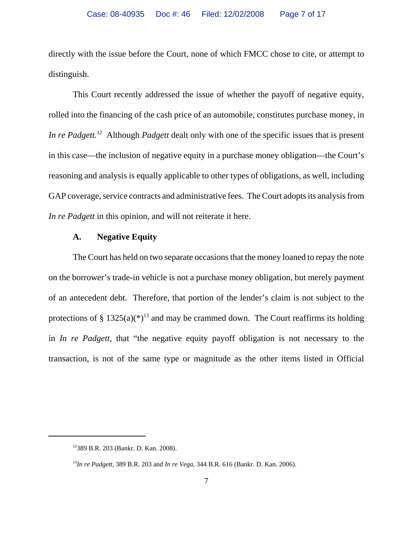directly with the issue before the Court, none of which FMCC chose to cite, or attempt to distinguish.

This Court recently addressed the issue of whether the payoff of negative equity, rolled into the financing of the cash price of an automobile, constitutes purchase money, in *In re Padgett.12* Although *Padgett* dealt only with one of the specific issues that is present in this case—the inclusion of negative equity in a purchase money obligation—the Court's reasoning and analysis is equally applicable to other types of obligations, as well, including GAP coverage, service contracts and administrative fees. The Court adopts its analysis from *In re Padgett* in this opinion, and will not reiterate it here.

## **A. Negative Equity**

The Court has held on two separate occasions that the money loaned to repay the note on the borrower's trade-in vehicle is not a purchase money obligation, but merely payment of an antecedent debt. Therefore, that portion of the lender's claim is not subject to the protections of § 1325(a)( $*$ )<sup>13</sup> and may be crammed down. The Court reaffirms its holding in *In re Padgett,* that "the negative equity payoff obligation is not necessary to the transaction, is not of the same type or magnitude as the other items listed in Official

<sup>12389</sup> B.R. 203 (Bankr. D. Kan. 2008).

<sup>13</sup>*In re Padgett*, 389 B.R. 203 and *In re Vega*, 344 B.R. 616 (Bankr. D. Kan. 2006).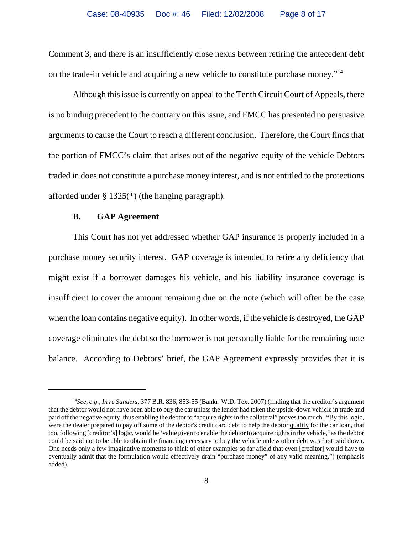Comment 3, and there is an insufficiently close nexus between retiring the antecedent debt on the trade-in vehicle and acquiring a new vehicle to constitute purchase money."14

Although this issue is currently on appeal to the Tenth Circuit Court of Appeals, there is no binding precedent to the contrary on this issue, and FMCC has presented no persuasive arguments to cause the Court to reach a different conclusion. Therefore, the Court finds that the portion of FMCC's claim that arises out of the negative equity of the vehicle Debtors traded in does not constitute a purchase money interest, and is not entitled to the protections afforded under § 1325(\*) (the hanging paragraph).

## **B. GAP Agreement**

This Court has not yet addressed whether GAP insurance is properly included in a purchase money security interest. GAP coverage is intended to retire any deficiency that might exist if a borrower damages his vehicle, and his liability insurance coverage is insufficient to cover the amount remaining due on the note (which will often be the case when the loan contains negative equity). In other words, if the vehicle is destroyed, the GAP coverage eliminates the debt so the borrower is not personally liable for the remaining note balance. According to Debtors' brief, the GAP Agreement expressly provides that it is

<sup>&</sup>lt;sup>14</sup>See, e.g., In re Sanders, 377 B.R. 836, 853-55 (Bankr. W.D. Tex. 2007) (finding that the creditor's argument that the debtor would not have been able to buy the car unless the lender had taken the upside-down vehicle in trade and paid off the negative equity, thus enabling the debtor to "acquire rights in the collateral" proves too much. "By this logic, were the dealer prepared to pay off some of the debtor's credit card debt to help the debtor qualify for the car loan, that too, following [creditor's] logic, would be 'value given to enable the debtor to acquire rights in the vehicle,' as the debtor could be said not to be able to obtain the financing necessary to buy the vehicle unless other debt was first paid down. One needs only a few imaginative moments to think of other examples so far afield that even [creditor] would have to eventually admit that the formulation would effectively drain "purchase money" of any valid meaning.") (emphasis added).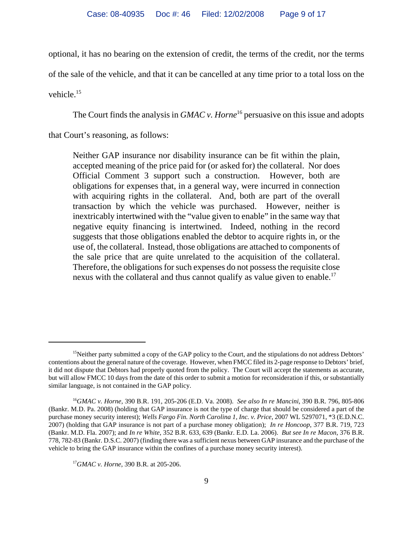optional, it has no bearing on the extension of credit, the terms of the credit, nor the terms

of the sale of the vehicle, and that it can be cancelled at any time prior to a total loss on the

vehicle.15

The Court finds the analysis in *GMAC v. Horne*<sup>16</sup> persuasive on this issue and adopts

that Court's reasoning, as follows:

Neither GAP insurance nor disability insurance can be fit within the plain, accepted meaning of the price paid for (or asked for) the collateral. Nor does Official Comment 3 support such a construction. However, both are obligations for expenses that, in a general way, were incurred in connection with acquiring rights in the collateral. And, both are part of the overall transaction by which the vehicle was purchased. However, neither is inextricably intertwined with the "value given to enable" in the same way that negative equity financing is intertwined. Indeed, nothing in the record suggests that those obligations enabled the debtor to acquire rights in, or the use of, the collateral. Instead, those obligations are attached to components of the sale price that are quite unrelated to the acquisition of the collateral. Therefore, the obligations for such expenses do not possess the requisite close nexus with the collateral and thus cannot qualify as value given to enable.<sup>17</sup>

<sup>&</sup>lt;sup>15</sup>Neither party submitted a copy of the GAP policy to the Court, and the stipulations do not address Debtors' contentions about the general nature of the coverage. However, when FMCC filed its 2-page response to Debtors' brief, it did not dispute that Debtors had properly quoted from the policy. The Court will accept the statements as accurate, but will allow FMCC 10 days from the date of this order to submit a motion for reconsideration if this, or substantially similar language, is not contained in the GAP policy.

<sup>16</sup>*GMAC v. Horne,* 390 B.R. 191, 205-206 (E.D. Va. 2008). *See also In re Mancini*, 390 B.R. 796, 805-806 (Bankr. M.D. Pa. 2008) (holding that GAP insurance is not the type of charge that should be considered a part of the purchase money security interest); *Wells Fargo Fin. North Carolina 1, Inc. v. Price*, 2007 WL 5297071, \*3 (E.D.N.C. 2007) (holding that GAP insurance is not part of a purchase money obligation); *In re Honcoop*, 377 B.R. 719, 723 (Bankr. M.D. Fla. 2007); and *In re White*, 352 B.R. 633, 639 (Bankr. E.D. La. 2006). *But see In re Macon*, 376 B.R. 778, 782-83 (Bankr. D.S.C. 2007) (finding there was a sufficient nexus between GAP insurance and the purchase of the vehicle to bring the GAP insurance within the confines of a purchase money security interest).

<sup>17</sup>*GMAC v. Horne*, 390 B.R. at 205-206.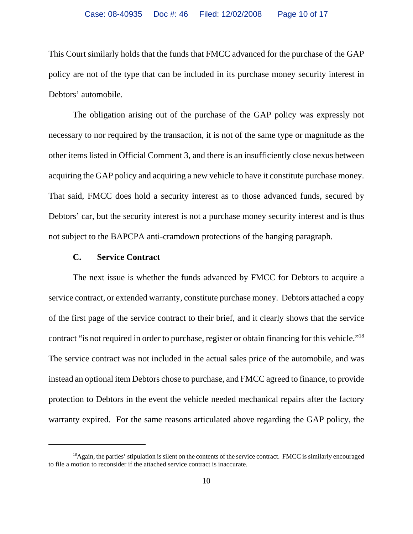This Court similarly holds that the funds that FMCC advanced for the purchase of the GAP policy are not of the type that can be included in its purchase money security interest in Debtors' automobile.

The obligation arising out of the purchase of the GAP policy was expressly not necessary to nor required by the transaction, it is not of the same type or magnitude as the other items listed in Official Comment 3, and there is an insufficiently close nexus between acquiring the GAP policy and acquiring a new vehicle to have it constitute purchase money. That said, FMCC does hold a security interest as to those advanced funds, secured by Debtors' car, but the security interest is not a purchase money security interest and is thus not subject to the BAPCPA anti-cramdown protections of the hanging paragraph.

# **C. Service Contract**

The next issue is whether the funds advanced by FMCC for Debtors to acquire a service contract, or extended warranty, constitute purchase money. Debtors attached a copy of the first page of the service contract to their brief, and it clearly shows that the service contract "is not required in order to purchase, register or obtain financing for this vehicle."18 The service contract was not included in the actual sales price of the automobile, and was instead an optional item Debtors chose to purchase, and FMCC agreed to finance, to provide protection to Debtors in the event the vehicle needed mechanical repairs after the factory warranty expired. For the same reasons articulated above regarding the GAP policy, the

<sup>&</sup>lt;sup>18</sup>Again, the parties' stipulation is silent on the contents of the service contract. FMCC is similarly encouraged to file a motion to reconsider if the attached service contract is inaccurate.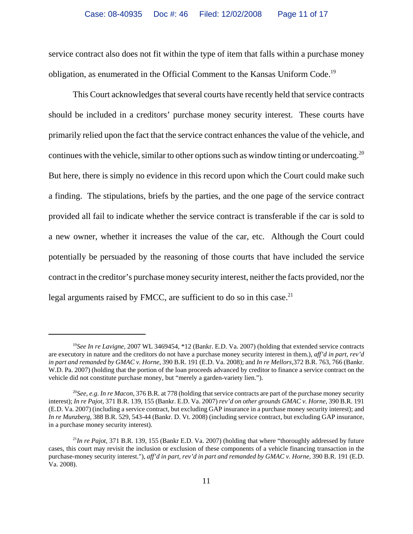service contract also does not fit within the type of item that falls within a purchase money obligation, as enumerated in the Official Comment to the Kansas Uniform Code.19

This Court acknowledges that several courts have recently held that service contracts should be included in a creditors' purchase money security interest. These courts have primarily relied upon the fact that the service contract enhances the value of the vehicle, and continues with the vehicle, similar to other options such as window tinting or undercoating.<sup>20</sup> But here, there is simply no evidence in this record upon which the Court could make such a finding. The stipulations, briefs by the parties, and the one page of the service contract provided all fail to indicate whether the service contract is transferable if the car is sold to a new owner, whether it increases the value of the car, etc. Although the Court could potentially be persuaded by the reasoning of those courts that have included the service contract in the creditor's purchase money security interest, neither the facts provided, nor the legal arguments raised by FMCC, are sufficient to do so in this case.<sup>21</sup>

<sup>19</sup>*See In re Lavigne,* 2007 WL 3469454, \*12 (Bankr. E.D. Va. 2007) (holding that extended service contracts are executory in nature and the creditors do not have a purchase money security interest in them.), *aff'd in part, rev'd in part and remanded by GMAC v. Horne,* 390 B.R. 191 (E.D. Va. 2008); and *In re Mellors*,372 B.R. 763, 766 (Bankr. W.D. Pa. 2007) (holding that the portion of the loan proceeds advanced by creditor to finance a service contract on the vehicle did not constitute purchase money, but "merely a garden-variety lien.").

<sup>20</sup>*See, e.g. In re Macon*, 376 B.R. at 778 (holding that service contracts are part of the purchase money security interest); *In re Pajot*, 371 B.R. 139, 155 (Bankr. E.D. Va. 2007) *rev'd on other grounds GMAC v. Horne*, 390 B.R. 191 (E.D. Va. 2007) (including a service contract, but excluding GAP insurance in a purchase money security interest); and *In re Munzberg*, 388 B.R. 529, 543-44 (Bankr. D. Vt. 2008) (including service contract, but excluding GAP insurance, in a purchase money security interest).

<sup>21</sup>*In re Pajot,* 371 B.R. 139, 155 (Bankr E.D. Va. 2007) (holding that where "thoroughly addressed by future cases, this court may revisit the inclusion or exclusion of these components of a vehicle financing transaction in the purchase-money security interest."), *aff'd in part, rev'd in part and remanded by GMAC v. Horne,* 390 B.R. 191 (E.D. Va. 2008).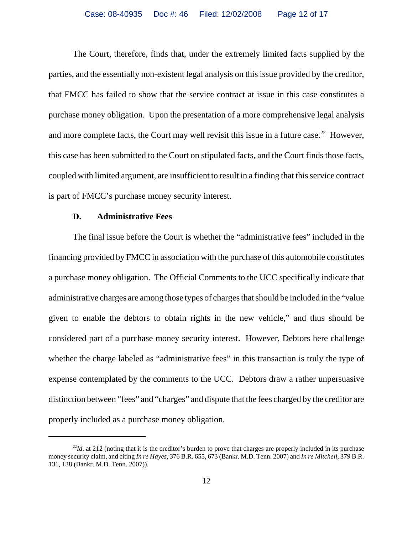The Court, therefore, finds that, under the extremely limited facts supplied by the parties, and the essentially non-existent legal analysis on this issue provided by the creditor, that FMCC has failed to show that the service contract at issue in this case constitutes a purchase money obligation. Upon the presentation of a more comprehensive legal analysis and more complete facts, the Court may well revisit this issue in a future case.<sup>22</sup> However, this case has been submitted to the Court on stipulated facts, and the Court finds those facts, coupled with limited argument, are insufficient to result in a finding that this service contract is part of FMCC's purchase money security interest.

#### **D. Administrative Fees**

The final issue before the Court is whether the "administrative fees" included in the financing provided by FMCC in association with the purchase of this automobile constitutes a purchase money obligation. The Official Comments to the UCC specifically indicate that administrative charges are among those types of charges that should be included in the "value given to enable the debtors to obtain rights in the new vehicle," and thus should be considered part of a purchase money security interest. However, Debtors here challenge whether the charge labeled as "administrative fees" in this transaction is truly the type of expense contemplated by the comments to the UCC. Debtors draw a rather unpersuasive distinction between "fees" and "charges" and dispute that the fees charged by the creditor are properly included as a purchase money obligation.

 $^{22}$ *Id*. at 212 (noting that it is the creditor's burden to prove that charges are properly included in its purchase money security claim, and citing *In re Hayes*, 376 B.R. 655, 673 (Bankr. M.D. Tenn. 2007) and *In re Mitchell*, 379 B.R. 131, 138 (Bankr. M.D. Tenn. 2007)).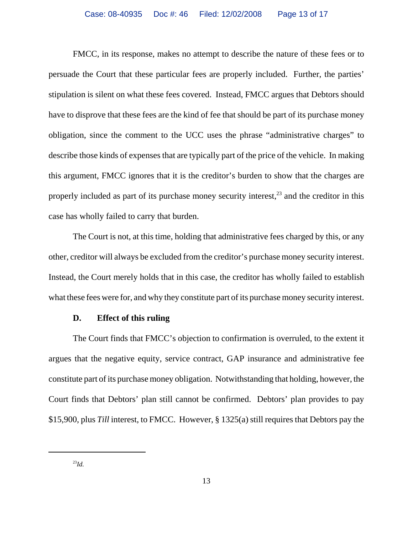FMCC, in its response, makes no attempt to describe the nature of these fees or to persuade the Court that these particular fees are properly included. Further, the parties' stipulation is silent on what these fees covered. Instead, FMCC argues that Debtors should have to disprove that these fees are the kind of fee that should be part of its purchase money obligation, since the comment to the UCC uses the phrase "administrative charges" to describe those kinds of expenses that are typically part of the price of the vehicle. In making this argument, FMCC ignores that it is the creditor's burden to show that the charges are properly included as part of its purchase money security interest,<sup>23</sup> and the creditor in this case has wholly failed to carry that burden.

The Court is not, at this time, holding that administrative fees charged by this, or any other, creditor will always be excluded from the creditor's purchase money security interest. Instead, the Court merely holds that in this case, the creditor has wholly failed to establish what these fees were for, and why they constitute part of its purchase money security interest.

## **D. Effect of this ruling**

The Court finds that FMCC's objection to confirmation is overruled, to the extent it argues that the negative equity, service contract, GAP insurance and administrative fee constitute part of its purchase money obligation. Notwithstanding that holding, however, the Court finds that Debtors' plan still cannot be confirmed. Debtors' plan provides to pay \$15,900, plus *Till* interest, to FMCC. However, § 1325(a) still requires that Debtors pay the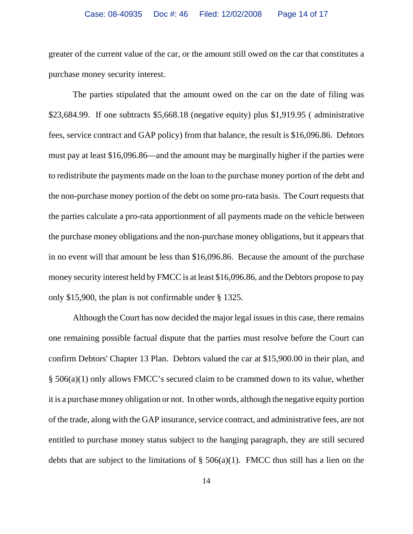#### Case: 08-40935 Doc #: 46 Filed: 12/02/2008 Page 14 of 17

greater of the current value of the car, or the amount still owed on the car that constitutes a purchase money security interest.

The parties stipulated that the amount owed on the car on the date of filing was \$23,684.99. If one subtracts \$5,668.18 (negative equity) plus \$1,919.95 ( administrative fees, service contract and GAP policy) from that balance, the result is \$16,096.86. Debtors must pay at least \$16,096.86—and the amount may be marginally higher if the parties were to redistribute the payments made on the loan to the purchase money portion of the debt and the non-purchase money portion of the debt on some pro-rata basis. The Court requests that the parties calculate a pro-rata apportionment of all payments made on the vehicle between the purchase money obligations and the non-purchase money obligations, but it appears that in no event will that amount be less than \$16,096.86. Because the amount of the purchase money security interest held by FMCC is at least \$16,096.86, and the Debtors propose to pay only \$15,900, the plan is not confirmable under § 1325.

Although the Court has now decided the major legal issues in this case, there remains one remaining possible factual dispute that the parties must resolve before the Court can confirm Debtors' Chapter 13 Plan. Debtors valued the car at \$15,900.00 in their plan, and § 506(a)(1) only allows FMCC's secured claim to be crammed down to its value, whether it is a purchase money obligation or not. In other words, although the negative equity portion of the trade, along with the GAP insurance, service contract, and administrative fees, are not entitled to purchase money status subject to the hanging paragraph, they are still secured debts that are subject to the limitations of  $\S$  506(a)(1). FMCC thus still has a lien on the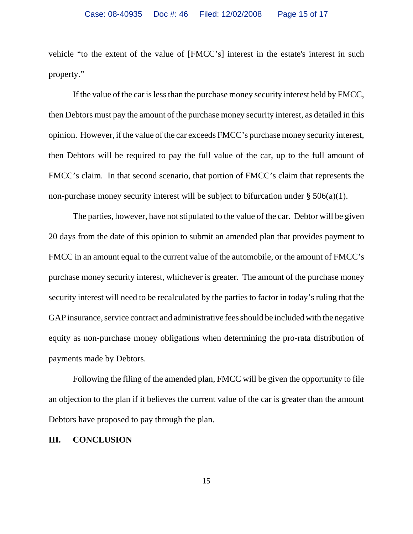vehicle "to the extent of the value of [FMCC's] interest in the estate's interest in such property."

If the value of the car is less than the purchase money security interest held by FMCC, then Debtors must pay the amount of the purchase money security interest, as detailed in this opinion. However, if the value of the car exceeds FMCC's purchase money security interest, then Debtors will be required to pay the full value of the car, up to the full amount of FMCC's claim. In that second scenario, that portion of FMCC's claim that represents the non-purchase money security interest will be subject to bifurcation under  $\S$  506(a)(1).

The parties, however, have not stipulated to the value of the car. Debtor will be given 20 days from the date of this opinion to submit an amended plan that provides payment to FMCC in an amount equal to the current value of the automobile, or the amount of FMCC's purchase money security interest, whichever is greater. The amount of the purchase money security interest will need to be recalculated by the parties to factor in today's ruling that the GAP insurance, service contract and administrative fees should be included with the negative equity as non-purchase money obligations when determining the pro-rata distribution of payments made by Debtors.

Following the filing of the amended plan, FMCC will be given the opportunity to file an objection to the plan if it believes the current value of the car is greater than the amount Debtors have proposed to pay through the plan.

#### **III. CONCLUSION**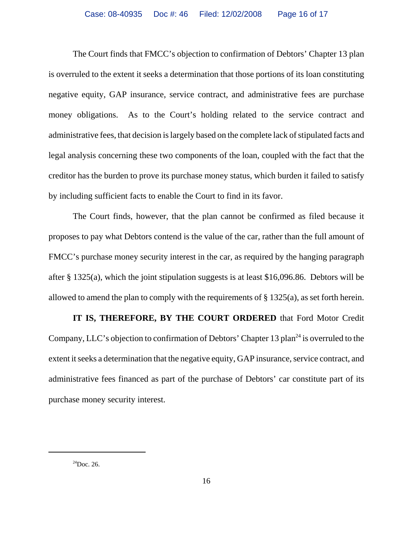The Court finds that FMCC's objection to confirmation of Debtors' Chapter 13 plan is overruled to the extent it seeks a determination that those portions of its loan constituting negative equity, GAP insurance, service contract, and administrative fees are purchase money obligations. As to the Court's holding related to the service contract and administrative fees, that decision is largely based on the complete lack of stipulated facts and legal analysis concerning these two components of the loan, coupled with the fact that the creditor has the burden to prove its purchase money status, which burden it failed to satisfy by including sufficient facts to enable the Court to find in its favor.

The Court finds, however, that the plan cannot be confirmed as filed because it proposes to pay what Debtors contend is the value of the car, rather than the full amount of FMCC's purchase money security interest in the car, as required by the hanging paragraph after § 1325(a), which the joint stipulation suggests is at least \$16,096.86. Debtors will be allowed to amend the plan to comply with the requirements of § 1325(a), as set forth herein.

**IT IS, THEREFORE, BY THE COURT ORDERED** that Ford Motor Credit Company, LLC's objection to confirmation of Debtors' Chapter 13 plan<sup>24</sup> is overruled to the extent it seeks a determination that the negative equity, GAP insurance, service contract, and administrative fees financed as part of the purchase of Debtors' car constitute part of its purchase money security interest.

 $^{24}$ Doc. 26.